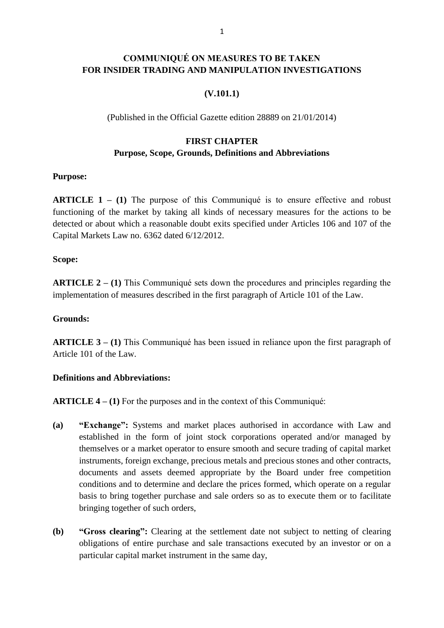## **COMMUNIQUÉ ON MEASURES TO BE TAKEN FOR INSIDER TRADING AND MANIPULATION INVESTIGATIONS**

### **(V.101.1)**

(Published in the Official Gazette edition 28889 on 21/01/2014)

## **FIRST CHAPTER Purpose, Scope, Grounds, Definitions and Abbreviations**

### **Purpose:**

**ARTICLE 1 – (1)** The purpose of this Communiqué is to ensure effective and robust functioning of the market by taking all kinds of necessary measures for the actions to be detected or about which a reasonable doubt exits specified under Articles 106 and 107 of the Capital Markets Law no. 6362 dated 6/12/2012.

#### **Scope:**

**ARTICLE 2 – (1)** This Communiqué sets down the procedures and principles regarding the implementation of measures described in the first paragraph of Article 101 of the Law.

### **Grounds:**

**ARTICLE 3 – (1)** This Communiqué has been issued in reliance upon the first paragraph of Article 101 of the Law.

### **Definitions and Abbreviations:**

**ARTICLE 4 – (1)** For the purposes and in the context of this Communiqué:

- **(a) "Exchange":** Systems and market places authorised in accordance with Law and established in the form of joint stock corporations operated and/or managed by themselves or a market operator to ensure smooth and secure trading of capital market instruments, foreign exchange, precious metals and precious stones and other contracts, documents and assets deemed appropriate by the Board under free competition conditions and to determine and declare the prices formed, which operate on a regular basis to bring together purchase and sale orders so as to execute them or to facilitate bringing together of such orders,
- **(b) "Gross clearing":** Clearing at the settlement date not subject to netting of clearing obligations of entire purchase and sale transactions executed by an investor or on a particular capital market instrument in the same day,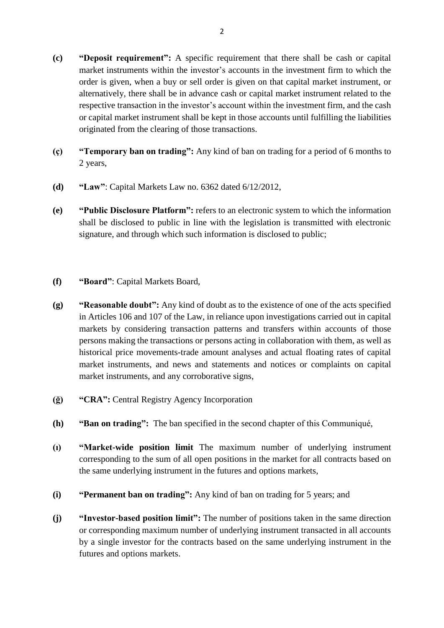- **(c) "Deposit requirement":** A specific requirement that there shall be cash or capital market instruments within the investor's accounts in the investment firm to which the order is given, when a buy or sell order is given on that capital market instrument, or alternatively, there shall be in advance cash or capital market instrument related to the respective transaction in the investor's account within the investment firm, and the cash or capital market instrument shall be kept in those accounts until fulfilling the liabilities originated from the clearing of those transactions.
- **(ç) "Temporary ban on trading":** Any kind of ban on trading for a period of 6 months to 2 years,
- **(d) "Law"**: Capital Markets Law no. 6362 dated 6/12/2012,
- **(e) "Public Disclosure Platform":** refers to an electronic system to which the information shall be disclosed to public in line with the legislation is transmitted with electronic signature, and through which such information is disclosed to public;
- **(f) "Board"**: Capital Markets Board,
- **(g) "Reasonable doubt":** Any kind of doubt as to the existence of one of the acts specified in Articles 106 and 107 of the Law, in reliance upon investigations carried out in capital markets by considering transaction patterns and transfers within accounts of those persons making the transactions or persons acting in collaboration with them, as well as historical price movements-trade amount analyses and actual floating rates of capital market instruments, and news and statements and notices or complaints on capital market instruments, and any corroborative signs,
- **(ğ) "CRA":** Central Registry Agency Incorporation
- **(h) "Ban on trading":** The ban specified in the second chapter of this Communiqué,
- **(ı) "Market-wide position limit** The maximum number of underlying instrument corresponding to the sum of all open positions in the market for all contracts based on the same underlying instrument in the futures and options markets,
- **(i) "Permanent ban on trading":** Any kind of ban on trading for 5 years; and
- **(j) "Investor-based position limit":** The number of positions taken in the same direction or corresponding maximum number of underlying instrument transacted in all accounts by a single investor for the contracts based on the same underlying instrument in the futures and options markets.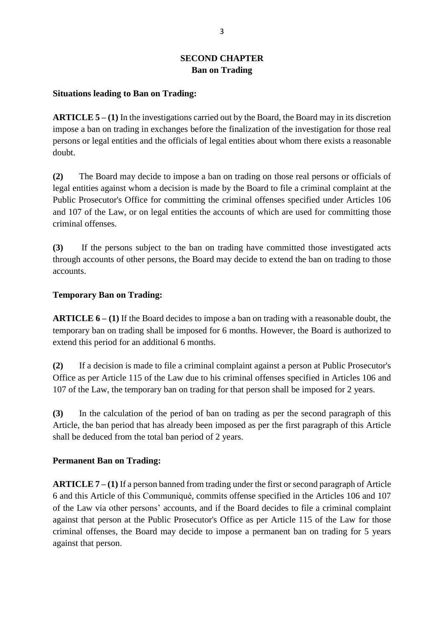## **SECOND CHAPTER Ban on Trading**

#### **Situations leading to Ban on Trading:**

**ARTICLE 5 – (1)** In the investigations carried out by the Board, the Board may in its discretion impose a ban on trading in exchanges before the finalization of the investigation for those real persons or legal entities and the officials of legal entities about whom there exists a reasonable doubt.

**(2)** The Board may decide to impose a ban on trading on those real persons or officials of legal entities against whom a decision is made by the Board to file a criminal complaint at the Public Prosecutor's Office for committing the criminal offenses specified under Articles 106 and 107 of the Law, or on legal entities the accounts of which are used for committing those criminal offenses.

**(3)** If the persons subject to the ban on trading have committed those investigated acts through accounts of other persons, the Board may decide to extend the ban on trading to those accounts.

### **Temporary Ban on Trading:**

**ARTICLE 6 – (1)** If the Board decides to impose a ban on trading with a reasonable doubt, the temporary ban on trading shall be imposed for 6 months. However, the Board is authorized to extend this period for an additional 6 months.

**(2)** If a decision is made to file a criminal complaint against a person at Public Prosecutor's Office as per Article 115 of the Law due to his criminal offenses specified in Articles 106 and 107 of the Law, the temporary ban on trading for that person shall be imposed for 2 years.

**(3)** In the calculation of the period of ban on trading as per the second paragraph of this Article, the ban period that has already been imposed as per the first paragraph of this Article shall be deduced from the total ban period of 2 years.

#### **Permanent Ban on Trading:**

**ARTICLE 7 – (1)** If a person banned from trading under the first or second paragraph of Article 6 and this Article of this Communiqué, commits offense specified in the Articles 106 and 107 of the Law via other persons' accounts, and if the Board decides to file a criminal complaint against that person at the Public Prosecutor's Office as per Article 115 of the Law for those criminal offenses, the Board may decide to impose a permanent ban on trading for 5 years against that person.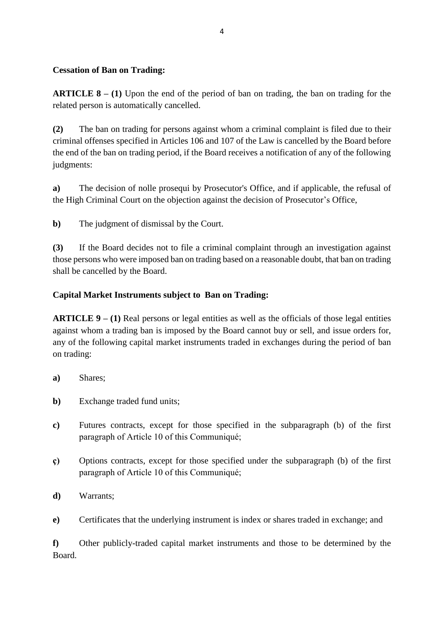### **Cessation of Ban on Trading:**

**ARTICLE 8 – (1)** Upon the end of the period of ban on trading, the ban on trading for the related person is automatically cancelled.

**(2)** The ban on trading for persons against whom a criminal complaint is filed due to their criminal offenses specified in Articles 106 and 107 of the Law is cancelled by the Board before the end of the ban on trading period, if the Board receives a notification of any of the following judgments:

**a)** The decision of nolle prosequi by Prosecutor's Office, and if applicable, the refusal of the High Criminal Court on the objection against the decision of Prosecutor's Office,

**b)** The judgment of dismissal by the Court.

**(3)** If the Board decides not to file a criminal complaint through an investigation against those persons who were imposed ban on trading based on a reasonable doubt, that ban on trading shall be cancelled by the Board.

## **Capital Market Instruments subject to Ban on Trading:**

**ARTICLE 9 – (1)** Real persons or legal entities as well as the officials of those legal entities against whom a trading ban is imposed by the Board cannot buy or sell, and issue orders for, any of the following capital market instruments traded in exchanges during the period of ban on trading:

- **a)** Shares;
- **b)** Exchange traded fund units;
- **c)** Futures contracts, except for those specified in the subparagraph (b) of the first paragraph of Article 10 of this Communiqué;
- **ç)** Options contracts, except for those specified under the subparagraph (b) of the first paragraph of Article 10 of this Communiqué;
- **d)** Warrants;
- **e)** Certificates that the underlying instrument is index or shares traded in exchange; and

**f)** Other publicly-traded capital market instruments and those to be determined by the Board.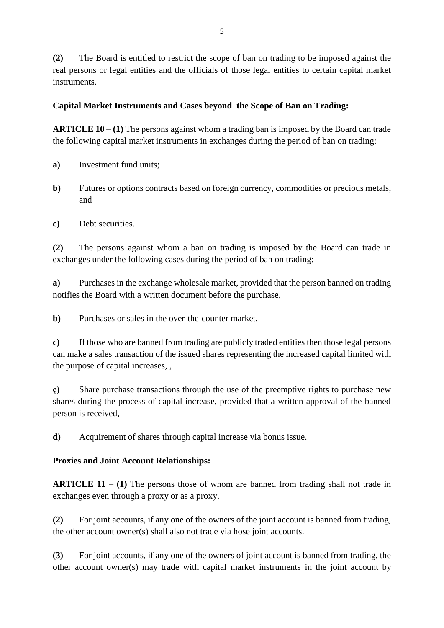**(2)** The Board is entitled to restrict the scope of ban on trading to be imposed against the real persons or legal entities and the officials of those legal entities to certain capital market instruments.

## **Capital Market Instruments and Cases beyond the Scope of Ban on Trading:**

**ARTICLE 10 – (1)** The persons against whom a trading ban is imposed by the Board can trade the following capital market instruments in exchanges during the period of ban on trading:

- **a)** Investment fund units;
- **b)** Futures or options contracts based on foreign currency, commodities or precious metals, and
- **c)** Debt securities.

**(2)** The persons against whom a ban on trading is imposed by the Board can trade in exchanges under the following cases during the period of ban on trading:

**a)** Purchases in the exchange wholesale market, provided that the person banned on trading notifies the Board with a written document before the purchase,

**b**) Purchases or sales in the over-the-counter market,

**c)** If those who are banned from trading are publicly traded entities then those legal persons can make a sales transaction of the issued shares representing the increased capital limited with the purpose of capital increases, ,

**ç)** Share purchase transactions through the use of the preemptive rights to purchase new shares during the process of capital increase, provided that a written approval of the banned person is received,

**d)** Acquirement of shares through capital increase via bonus issue.

## **Proxies and Joint Account Relationships:**

**ARTICLE 11 – (1)** The persons those of whom are banned from trading shall not trade in exchanges even through a proxy or as a proxy.

**(2)** For joint accounts, if any one of the owners of the joint account is banned from trading, the other account owner(s) shall also not trade via hose joint accounts.

**(3)** For joint accounts, if any one of the owners of joint account is banned from trading, the other account owner(s) may trade with capital market instruments in the joint account by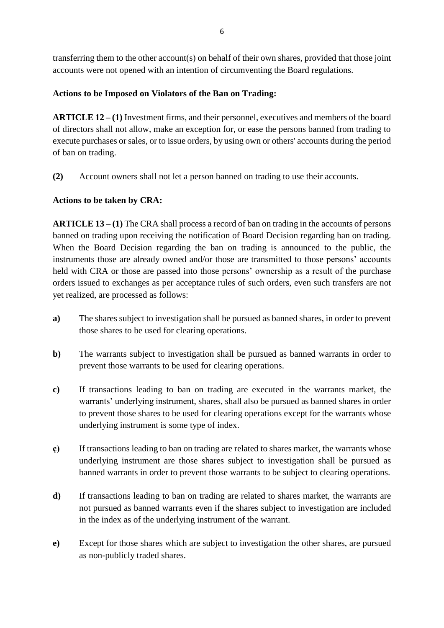transferring them to the other account(s) on behalf of their own shares, provided that those joint accounts were not opened with an intention of circumventing the Board regulations.

## **Actions to be Imposed on Violators of the Ban on Trading:**

**ARTICLE 12 – (1)** Investment firms, and their personnel, executives and members of the board of directors shall not allow, make an exception for, or ease the persons banned from trading to execute purchases or sales, or to issue orders, by using own or others' accounts during the period of ban on trading.

**(2)** Account owners shall not let a person banned on trading to use their accounts.

## **Actions to be taken by CRA:**

**ARTICLE 13 – (1)** The CRA shall process a record of ban on trading in the accounts of persons banned on trading upon receiving the notification of Board Decision regarding ban on trading. When the Board Decision regarding the ban on trading is announced to the public, the instruments those are already owned and/or those are transmitted to those persons' accounts held with CRA or those are passed into those persons' ownership as a result of the purchase orders issued to exchanges as per acceptance rules of such orders, even such transfers are not yet realized, are processed as follows:

- **a)** The shares subject to investigation shall be pursued as banned shares, in order to prevent those shares to be used for clearing operations.
- **b)** The warrants subject to investigation shall be pursued as banned warrants in order to prevent those warrants to be used for clearing operations.
- **c)** If transactions leading to ban on trading are executed in the warrants market, the warrants' underlying instrument, shares, shall also be pursued as banned shares in order to prevent those shares to be used for clearing operations except for the warrants whose underlying instrument is some type of index.
- **ç)** If transactions leading to ban on trading are related to shares market, the warrants whose underlying instrument are those shares subject to investigation shall be pursued as banned warrants in order to prevent those warrants to be subject to clearing operations.
- **d)** If transactions leading to ban on trading are related to shares market, the warrants are not pursued as banned warrants even if the shares subject to investigation are included in the index as of the underlying instrument of the warrant.
- **e)** Except for those shares which are subject to investigation the other shares, are pursued as non-publicly traded shares.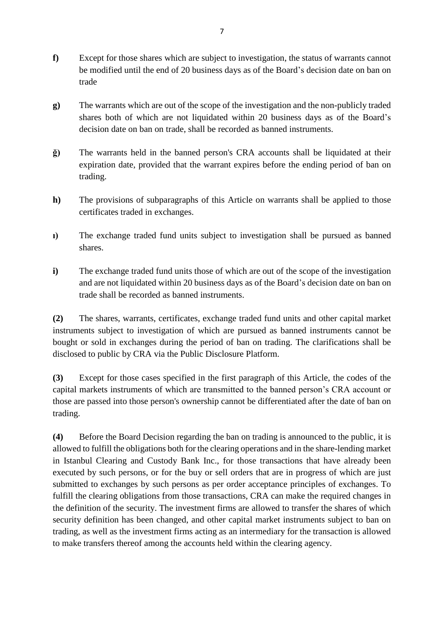- **f)** Except for those shares which are subject to investigation, the status of warrants cannot be modified until the end of 20 business days as of the Board's decision date on ban on trade
- **g)** The warrants which are out of the scope of the investigation and the non-publicly traded shares both of which are not liquidated within 20 business days as of the Board's decision date on ban on trade, shall be recorded as banned instruments.
- **ğ)** The warrants held in the banned person's CRA accounts shall be liquidated at their expiration date, provided that the warrant expires before the ending period of ban on trading.
- **h)** The provisions of subparagraphs of this Article on warrants shall be applied to those certificates traded in exchanges.
- **ı)** The exchange traded fund units subject to investigation shall be pursued as banned shares.
- **i)** The exchange traded fund units those of which are out of the scope of the investigation and are not liquidated within 20 business days as of the Board's decision date on ban on trade shall be recorded as banned instruments.

**(2)** The shares, warrants, certificates, exchange traded fund units and other capital market instruments subject to investigation of which are pursued as banned instruments cannot be bought or sold in exchanges during the period of ban on trading. The clarifications shall be disclosed to public by CRA via the Public Disclosure Platform.

**(3)** Except for those cases specified in the first paragraph of this Article, the codes of the capital markets instruments of which are transmitted to the banned person's CRA account or those are passed into those person's ownership cannot be differentiated after the date of ban on trading.

**(4)** Before the Board Decision regarding the ban on trading is announced to the public, it is allowed to fulfill the obligations both for the clearing operations and in the share-lending market in Istanbul Clearing and Custody Bank Inc., for those transactions that have already been executed by such persons, or for the buy or sell orders that are in progress of which are just submitted to exchanges by such persons as per order acceptance principles of exchanges. To fulfill the clearing obligations from those transactions, CRA can make the required changes in the definition of the security. The investment firms are allowed to transfer the shares of which security definition has been changed, and other capital market instruments subject to ban on trading, as well as the investment firms acting as an intermediary for the transaction is allowed to make transfers thereof among the accounts held within the clearing agency.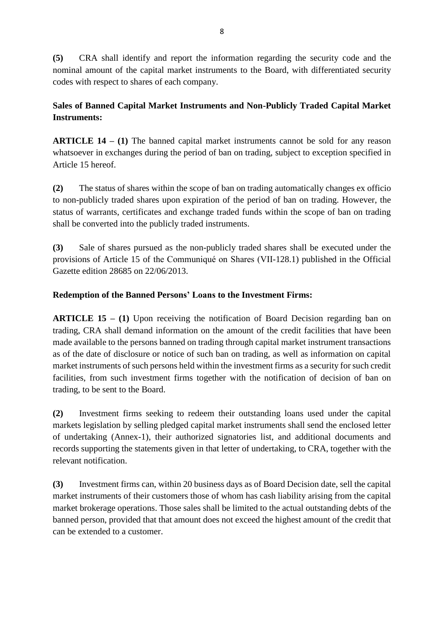**(5)** CRA shall identify and report the information regarding the security code and the nominal amount of the capital market instruments to the Board, with differentiated security codes with respect to shares of each company.

# **Sales of Banned Capital Market Instruments and Non-Publicly Traded Capital Market Instruments:**

**ARTICLE 14 – (1)** The banned capital market instruments cannot be sold for any reason whatsoever in exchanges during the period of ban on trading, subject to exception specified in Article 15 hereof.

**(2)** The status of shares within the scope of ban on trading automatically changes ex officio to non-publicly traded shares upon expiration of the period of ban on trading. However, the status of warrants, certificates and exchange traded funds within the scope of ban on trading shall be converted into the publicly traded instruments.

**(3)** Sale of shares pursued as the non-publicly traded shares shall be executed under the provisions of Article 15 of the Communiqué on Shares (VII-128.1) published in the Official Gazette edition 28685 on 22/06/2013.

## **Redemption of the Banned Persons' Loans to the Investment Firms:**

**ARTICLE 15 – (1)** Upon receiving the notification of Board Decision regarding ban on trading, CRA shall demand information on the amount of the credit facilities that have been made available to the persons banned on trading through capital market instrument transactions as of the date of disclosure or notice of such ban on trading, as well as information on capital market instruments of such persons held within the investment firms as a security for such credit facilities, from such investment firms together with the notification of decision of ban on trading, to be sent to the Board.

**(2)** Investment firms seeking to redeem their outstanding loans used under the capital markets legislation by selling pledged capital market instruments shall send the enclosed letter of undertaking (Annex-1), their authorized signatories list, and additional documents and records supporting the statements given in that letter of undertaking, to CRA, together with the relevant notification.

**(3)** Investment firms can, within 20 business days as of Board Decision date, sell the capital market instruments of their customers those of whom has cash liability arising from the capital market brokerage operations. Those sales shall be limited to the actual outstanding debts of the banned person, provided that that amount does not exceed the highest amount of the credit that can be extended to a customer.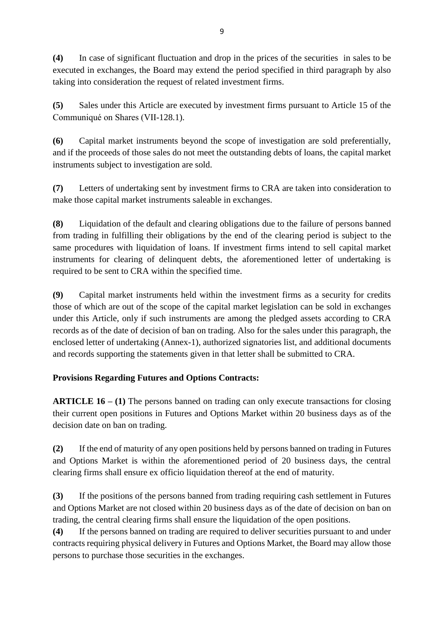**(4)** In case of significant fluctuation and drop in the prices of the securities in sales to be executed in exchanges, the Board may extend the period specified in third paragraph by also taking into consideration the request of related investment firms.

**(5)** Sales under this Article are executed by investment firms pursuant to Article 15 of the Communiqué on Shares (VII-128.1).

**(6)** Capital market instruments beyond the scope of investigation are sold preferentially, and if the proceeds of those sales do not meet the outstanding debts of loans, the capital market instruments subject to investigation are sold.

**(7)** Letters of undertaking sent by investment firms to CRA are taken into consideration to make those capital market instruments saleable in exchanges.

**(8)** Liquidation of the default and clearing obligations due to the failure of persons banned from trading in fulfilling their obligations by the end of the clearing period is subject to the same procedures with liquidation of loans. If investment firms intend to sell capital market instruments for clearing of delinquent debts, the aforementioned letter of undertaking is required to be sent to CRA within the specified time.

**(9)** Capital market instruments held within the investment firms as a security for credits those of which are out of the scope of the capital market legislation can be sold in exchanges under this Article, only if such instruments are among the pledged assets according to CRA records as of the date of decision of ban on trading. Also for the sales under this paragraph, the enclosed letter of undertaking (Annex-1), authorized signatories list, and additional documents and records supporting the statements given in that letter shall be submitted to CRA.

## **Provisions Regarding Futures and Options Contracts:**

**ARTICLE 16 – (1)** The persons banned on trading can only execute transactions for closing their current open positions in Futures and Options Market within 20 business days as of the decision date on ban on trading.

**(2)** If the end of maturity of any open positions held by persons banned on trading in Futures and Options Market is within the aforementioned period of 20 business days, the central clearing firms shall ensure ex officio liquidation thereof at the end of maturity.

**(3)** If the positions of the persons banned from trading requiring cash settlement in Futures and Options Market are not closed within 20 business days as of the date of decision on ban on trading, the central clearing firms shall ensure the liquidation of the open positions.

**(4)** If the persons banned on trading are required to deliver securities pursuant to and under contracts requiring physical delivery in Futures and Options Market, the Board may allow those persons to purchase those securities in the exchanges.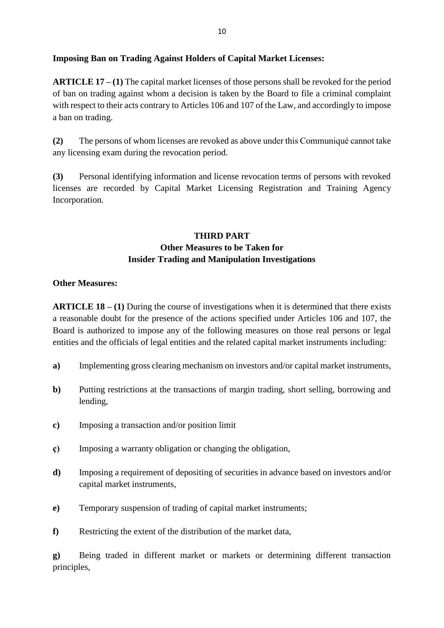### **Imposing Ban on Trading Against Holders of Capital Market Licenses:**

**ARTICLE 17 – (1)** The capital market licenses of those persons shall be revoked for the period of ban on trading against whom a decision is taken by the Board to file a criminal complaint with respect to their acts contrary to Articles 106 and 107 of the Law, and accordingly to impose a ban on trading.

**(2)** The persons of whom licenses are revoked as above under this Communiqué cannot take any licensing exam during the revocation period.

**(3)** Personal identifying information and license revocation terms of persons with revoked licenses are recorded by Capital Market Licensing Registration and Training Agency Incorporation.

# **THIRD PART Other Measures to be Taken for Insider Trading and Manipulation Investigations**

#### **Other Measures:**

**ARTICLE 18 – (1)** During the course of investigations when it is determined that there exists a reasonable doubt for the presence of the actions specified under Articles 106 and 107, the Board is authorized to impose any of the following measures on those real persons or legal entities and the officials of legal entities and the related capital market instruments including:

- **a)** Implementing gross clearing mechanism on investors and/or capital market instruments,
- **b)** Putting restrictions at the transactions of margin trading, short selling, borrowing and lending,
- **c)** Imposing a transaction and/or position limit
- **ç)** Imposing a warranty obligation or changing the obligation,
- **d)** Imposing a requirement of depositing of securities in advance based on investors and/or capital market instruments,
- **e)** Temporary suspension of trading of capital market instruments;
- **f)** Restricting the extent of the distribution of the market data,

**g)** Being traded in different market or markets or determining different transaction principles,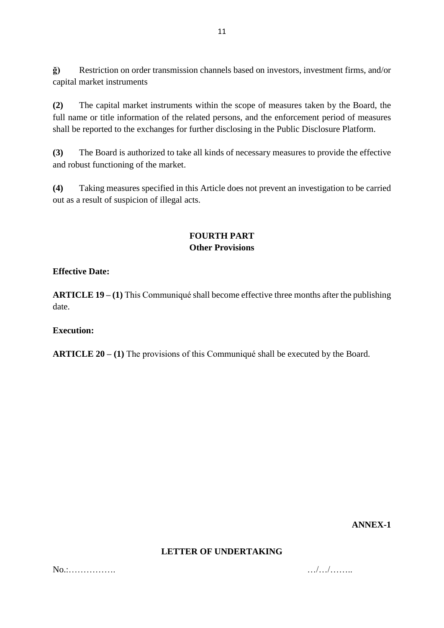**ğ)** Restriction on order transmission channels based on investors, investment firms, and/or capital market instruments

**(2)** The capital market instruments within the scope of measures taken by the Board, the full name or title information of the related persons, and the enforcement period of measures shall be reported to the exchanges for further disclosing in the Public Disclosure Platform.

**(3)** The Board is authorized to take all kinds of necessary measures to provide the effective and robust functioning of the market.

**(4)** Taking measures specified in this Article does not prevent an investigation to be carried out as a result of suspicion of illegal acts.

## **FOURTH PART Other Provisions**

#### **Effective Date:**

**ARTICLE 19 – (1)** This Communiqué shall become effective three months after the publishing date.

#### **Execution:**

**ARTICLE 20 – (1)** The provisions of this Communiqué shall be executed by the Board.

**ANNEX-1** 

#### **LETTER OF UNDERTAKING**

No.:……………. …/…/……..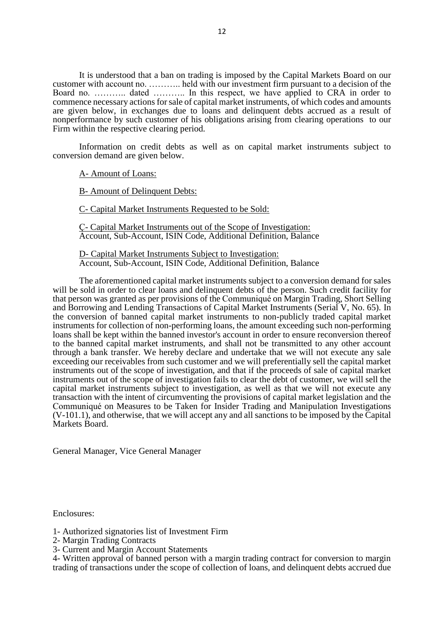It is understood that a ban on trading is imposed by the Capital Markets Board on our customer with account no. ……….. held with our investment firm pursuant to a decision of the Board no. ……….. dated ……….. In this respect, we have applied to CRA in order to commence necessary actions for sale of capital market instruments, of which codes and amounts are given below, in exchanges due to loans and delinquent debts accrued as a result of nonperformance by such customer of his obligations arising from clearing operations to our Firm within the respective clearing period.

Information on credit debts as well as on capital market instruments subject to conversion demand are given below.

A- Amount of Loans:

B- Amount of Delinquent Debts:

C- Capital Market Instruments Requested to be Sold:

Ç- Capital Market Instruments out of the Scope of Investigation: Account, Sub-Account, ISIN Code, Additional Definition, Balance

D- Capital Market Instruments Subject to Investigation: Account, Sub-Account, ISIN Code, Additional Definition, Balance

The aforementioned capital market instruments subject to a conversion demand for sales will be sold in order to clear loans and delinquent debts of the person. Such credit facility for that person was granted as per provisions of the Communiqué on Margin Trading, Short Selling and Borrowing and Lending Transactions of Capital Market Instruments (Serial V, No. 65). In the conversion of banned capital market instruments to non-publicly traded capital market instruments for collection of non-performing loans, the amount exceeding such non-performing loans shall be kept within the banned investor's account in order to ensure reconversion thereof to the banned capital market instruments, and shall not be transmitted to any other account through a bank transfer. We hereby declare and undertake that we will not execute any sale exceeding our receivables from such customer and we will preferentially sell the capital market instruments out of the scope of investigation, and that if the proceeds of sale of capital market instruments out of the scope of investigation fails to clear the debt of customer, we will sell the capital market instruments subject to investigation, as well as that we will not execute any transaction with the intent of circumventing the provisions of capital market legislation and the Communiqué on Measures to be Taken for Insider Trading and Manipulation Investigations (V-101.1), and otherwise, that we will accept any and all sanctions to be imposed by the Capital Markets Board.

General Manager, Vice General Manager

Enclosures:

- 1- Authorized signatories list of Investment Firm
- 2- Margin Trading Contracts
- 3- Current and Margin Account Statements

4- Written approval of banned person with a margin trading contract for conversion to margin trading of transactions under the scope of collection of loans, and delinquent debts accrued due